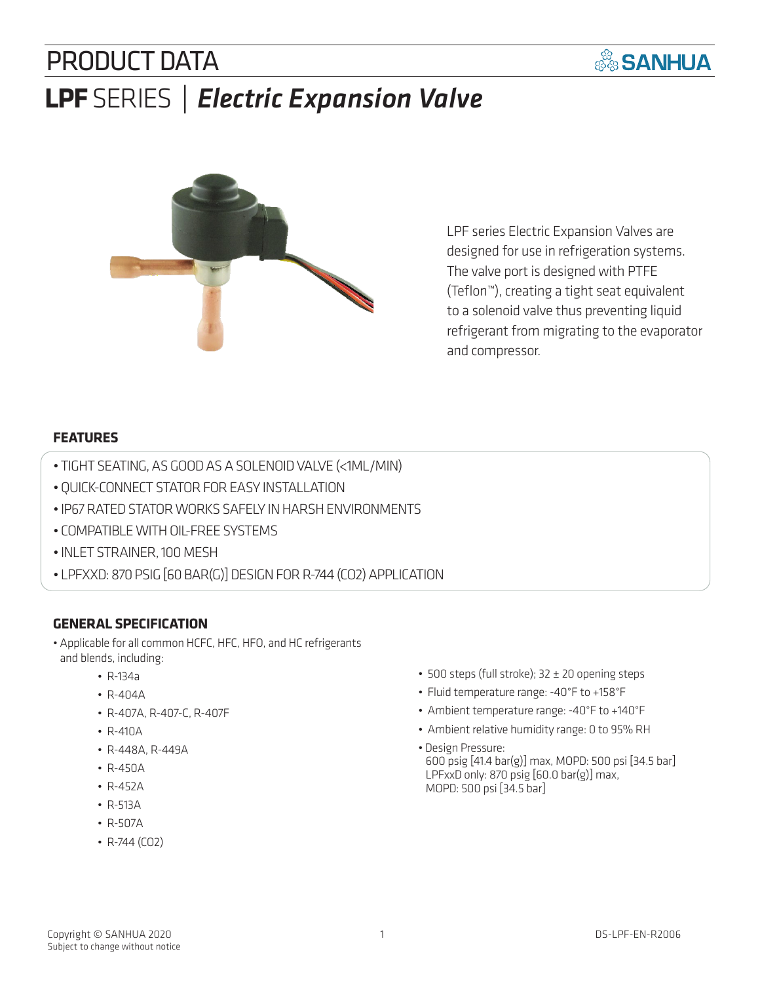# PRODUCT DATA **LPF** SERIES *| Electric Expansion Valve*



LPF series Electric Expansion Valves are designed for use in refrigeration systems. The valve port is designed with PTFE (Teflon™), creating a tight seat equivalent to a solenoid valve thus preventing liquid refrigerant from migrating to the evaporator and compressor.

**SANHUA** 

### **FEATURES**

- TIGHT SEATING, AS GOOD AS A SOLENOID VALVE (<1ML/MIN)
- QUICK-CONNECT STATOR FOR EASY INSTALLATION
- IP67 RATED STATOR WORKS SAFELY IN HARSH ENVIRONMENTS
- COMPATIBLE WITH OIL-FREE SYSTEMS
- INLET STRAINER, 100 MESH
- LPFXXD: 870 PSIG [60 BAR(G)] DESIGN FOR R-744 (CO2) APPLICATION

### **GENERAL SPECIFICATION**

- Applicable for all common HCFC, HFC, HFO, and HC refrigerants and blends, including:
	- R-134a
	- R-404A
	- R-407A, R-407-C, R-407F
	- R-410A
	- R-448A, R-449A
	- R-450A
	- R-452A
	- R-513A
	- R-507A
	- R-744 (CO2)
- 500 steps (full stroke); 32 ± 20 opening steps
- Fluid temperature range: -40°F to +158°F
- Ambient temperature range: -40°F to +140°F
- Ambient relative humidity range: 0 to 95% RH
- Design Pressure: 600 psig [41.4 bar(g)] max, MOPD: 500 psi [34.5 bar] LPFxxD only: 870 psig [60.0 bar(g)] max, MOPD: 500 psi [34.5 bar]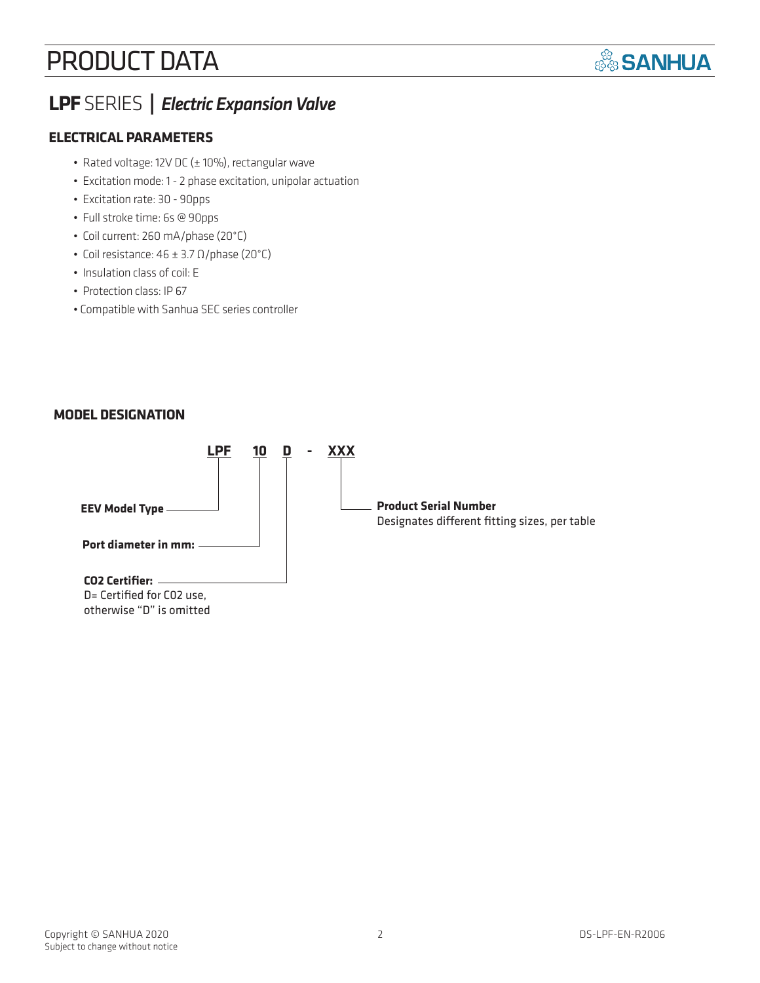## PRODUCT DATA



### **LPF** SERIES **|** *Electric Expansion Valve*

### **ELECTRICAL PARAMETERS**

- Rated voltage: 12V DC (± 10%), rectangular wave
- Excitation mode: 1 2 phase excitation, unipolar actuation
- Excitation rate: 30 90pps
- Full stroke time: 6s @ 90pps
- Coil current: 260 mA/phase (20°C)
- Coil resistance:  $46 \pm 3.7 \Omega$ /phase (20°C)
- Insulation class of coil: E
- Protection class: IP 67
- Compatible with Sanhua SEC series controller

### **MODEL DESIGNATION**

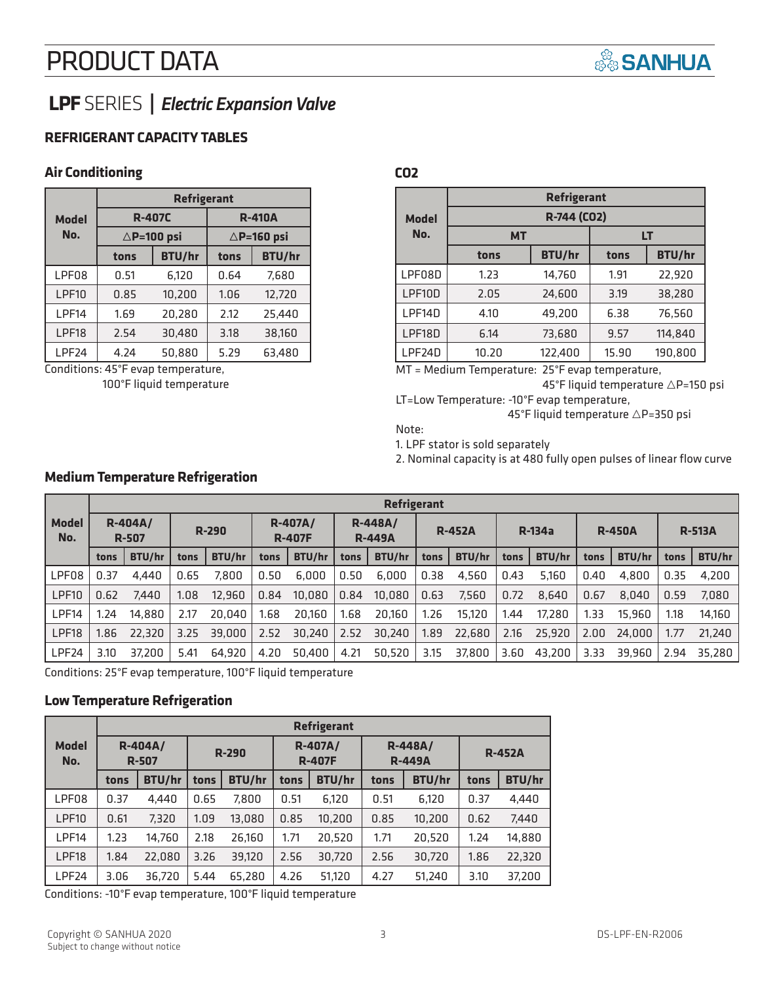## PRODUCT DATA



## **LPF** SERIES **|** *Electric Expansion Valve*

### **REFRIGERANT CAPACITY TABLES**

#### **Air Conditioning**

|                     | <b>Refrigerant</b> |                       |                       |               |  |  |  |  |  |
|---------------------|--------------------|-----------------------|-----------------------|---------------|--|--|--|--|--|
| <b>Model</b><br>No. |                    | <b>R-407C</b>         | <b>R-410A</b>         |               |  |  |  |  |  |
|                     |                    | $\triangle$ P=100 psi | $\triangle$ P=160 psi |               |  |  |  |  |  |
|                     | tons               | <b>BTU/hr</b>         | tons                  | <b>BTU/hr</b> |  |  |  |  |  |
| LPF08               | 0.51               | 6.120                 | 0.64                  | 7,680         |  |  |  |  |  |
| LPF10               | 0.85               | 10,200                | 1.06                  | 12.720        |  |  |  |  |  |
| LPF14               | 1.69               | 20.280                | 2.12                  | 25,440        |  |  |  |  |  |
| LPF18               | 2.54               | 30.480                | 3.18                  | 38,160        |  |  |  |  |  |
| LPF <sub>24</sub>   | 4.24               | 50,880                | 5.29                  | 63,480        |  |  |  |  |  |

Conditions: 45°F evap temperature, 100°F liquid temperature

**Medium Temperature Refrigeration**

#### **CO2**

|              |             | <b>Refrigerant</b> |       |               |  |  |  |  |  |  |
|--------------|-------------|--------------------|-------|---------------|--|--|--|--|--|--|
| <b>Model</b> | R-744 (CO2) |                    |       |               |  |  |  |  |  |  |
| No.          | <b>MT</b>   |                    | LT    |               |  |  |  |  |  |  |
|              | tons        | <b>BTU/hr</b>      | tons  | <b>BTU/hr</b> |  |  |  |  |  |  |
| LPF08D       | 1.23        | 14,760             | 1.91  | 22,920        |  |  |  |  |  |  |
| LPF10D       | 2.05        | 24,600             | 3.19  | 38,280        |  |  |  |  |  |  |
| LPF14D       | 4.10        | 49,200             | 6.38  | 76,560        |  |  |  |  |  |  |
| LPF18D       | 6.14        | 73,680             | 9.57  | 114.840       |  |  |  |  |  |  |
| LPF24D       | 10.20       | 122,400            | 15.90 | 190.800       |  |  |  |  |  |  |

MT = Medium Temperature: 25°F evap temperature,

45°F liquid temperature  $\triangle$ P=150 psi LT=Low Temperature: -10°F evap temperature,

45°F liquid temperature  $\triangle$ P=350 psi

Note:

1. LPF stator is sold separately

2. Nominal capacity is at 480 fully open pulses of linear flow curve

|                     |                                | <b>Refrigerant</b> |         |        |      |                                                               |      |               |      |               |      |               |      |               |      |        |
|---------------------|--------------------------------|--------------------|---------|--------|------|---------------------------------------------------------------|------|---------------|------|---------------|------|---------------|------|---------------|------|--------|
| <b>Model</b><br>No. | <b>R-404A/</b><br><b>R-507</b> |                    | $R-290$ |        |      | <b>R-407A/</b><br>$R-448A/$<br><b>R-407F</b><br><b>R-449A</b> |      | <b>R-452A</b> |      | <b>R-134a</b> |      | <b>R-450A</b> |      | <b>R-513A</b> |      |        |
|                     | tons                           | <b>BTU/hr</b>      | tons    | BTU/hr | tons | BTU/hr                                                        | tons | BTU/hr        | tons | BTU/hr        | tons | BTU/hr        | tons | BTU/hr        | tons | BTU/hr |
| LPF08               | 0.37                           | 4.440              | 0.65    | 7.800  | 0.50 | 6.000                                                         | 0.50 | 6.000         | 0.38 | 4,560         | 0.43 | 5.160         | 0.40 | 4.800         | 0.35 | 4,200  |
| LPF <sub>10</sub>   | 0.62                           | 7.440              | 1.08    | 12.960 | 0.84 | 10.080                                                        | 0.84 | 10,080        | 0.63 | 7.560         | 0.72 | 8.640         | 0.67 | 8.040         | 0.59 | 7,080  |
| LPF14               | 1.24                           | 14.880             | 2.17    | 20,040 | 1.68 | 20.160                                                        | 1.68 | 20.160        | 1.26 | 15.120        | 1.44 | 17.280        | 1.33 | 15,960        | 1.18 | 14.160 |
| LPF18               | 1.86                           | 22,320             | 3.25    | 39,000 | 2.52 | 30.240                                                        | 2.52 | 30,240        | 1.89 | 22,680        | 2.16 | 25,920        | 2.00 | 24,000        | 1.77 | 21.240 |
| LPF24               | 3.10                           | 37.200             | 5.41    | 64.920 | 4.20 | 50.400                                                        | 4.21 | 50,520        | 3.15 | 37,800        | 3.60 | 43.200        | 3.33 | 39.960        | 2.94 | 35.280 |

Conditions: 25°F evap temperature, 100°F liquid temperature

### **Low Temperature Refrigeration**

|                     |      | <b>Refrigerant</b>   |              |               |                                 |               |                                 |               |               |               |  |  |  |  |
|---------------------|------|----------------------|--------------|---------------|---------------------------------|---------------|---------------------------------|---------------|---------------|---------------|--|--|--|--|
| <b>Model</b><br>No. |      | R-404A/<br>$R - 507$ | <b>R-290</b> |               | <b>R-407A/</b><br><b>R-407F</b> |               | <b>R-448A/</b><br><b>R-449A</b> |               | <b>R-452A</b> |               |  |  |  |  |
|                     | tons | <b>BTU/hr</b>        | tons         | <b>BTU/hr</b> | tons                            | <b>BTU/hr</b> | tons                            | <b>BTU/hr</b> | tons          | <b>BTU/hr</b> |  |  |  |  |
| LPF08               | 0.37 | 4.440                | 0.65         | 7,800         | 0.51                            | 6,120         | 0.51                            | 6,120         | 0.37          | 4.440         |  |  |  |  |
| LPF10               | 0.61 | 7,320                | 1.09         | 13,080        | 0.85                            | 10.200        | 0.85                            | 10,200        | 0.62          | 7,440         |  |  |  |  |
| LPF14               | 1.23 | 14,760               | 2.18         | 26,160        | 1.71                            | 20,520        | 1.71                            | 20,520        | 1.24          | 14,880        |  |  |  |  |
| LPF18               | 1.84 | 22,080               | 3.26         | 39,120        | 2.56                            | 30,720        | 2.56                            | 30,720        | 1.86          | 22,320        |  |  |  |  |
| LPF <sub>24</sub>   | 3.06 | 36,720               | 5.44         | 65.280        | 4.26                            | 51,120        | 4.27                            | 51,240        | 3.10          | 37,200        |  |  |  |  |

Conditions: -10°F evap temperature, 100°F liquid temperature